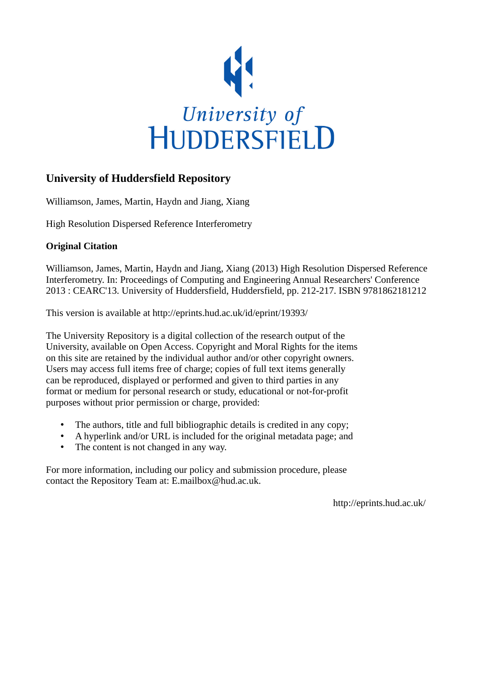

#### **University of Huddersfield Repository**

Williamson, James, Martin, Haydn and Jiang, Xiang

High Resolution Dispersed Reference Interferometry

#### **Original Citation**

Williamson, James, Martin, Haydn and Jiang, Xiang (2013) High Resolution Dispersed Reference Interferometry. In: Proceedings of Computing and Engineering Annual Researchers' Conference 2013 : CEARC'13. University of Huddersfield, Huddersfield, pp. 212-217. ISBN 9781862181212

This version is available at http://eprints.hud.ac.uk/id/eprint/19393/

The University Repository is a digital collection of the research output of the University, available on Open Access. Copyright and Moral Rights for the items on this site are retained by the individual author and/or other copyright owners. Users may access full items free of charge; copies of full text items generally can be reproduced, displayed or performed and given to third parties in any format or medium for personal research or study, educational or not-for-profit purposes without prior permission or charge, provided:

- The authors, title and full bibliographic details is credited in any copy;
- A hyperlink and/or URL is included for the original metadata page; and
- The content is not changed in any way.

For more information, including our policy and submission procedure, please contact the Repository Team at: E.mailbox@hud.ac.uk.

http://eprints.hud.ac.uk/